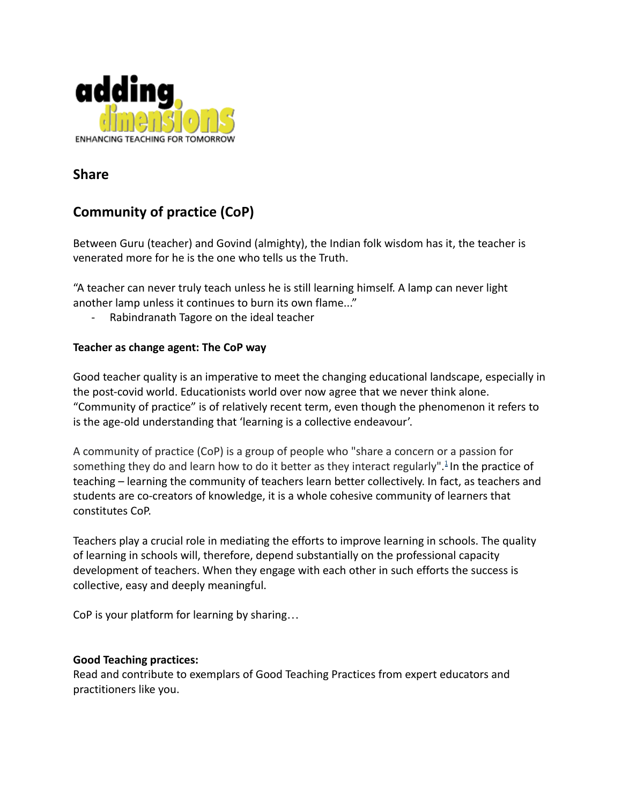

# **Share**

# **Community of practice (CoP)**

Between Guru (teacher) and Govind (almighty), the Indian folk wisdom has it, the teacher is venerated more for he is the one who tells us the Truth.

"A teacher can never truly teach unless he is still learning himself. A lamp can never light another lamp unless it continues to burn its own flame..."

- Rabindranath Tagore on the ideal teacher

## **Teacher as change agent: The CoP way**

Good teacher quality is an imperative to meet the changing educational landscape, especially in the post-covid world. Educationists world over now agree that we never think alone. "Community of practice" is of relatively recent term, even though the phenomenon it refers to is the age-old understanding that 'learning is a collective endeavour'.

A community of practice (CoP) is a group of people who "share a concern or a passion for something they do and learn how to do it better as they interact regularly".<sup>[1](https://wenger-trayner.com/introduction-to-communities-of-practice/)</sup> In the practice of teaching – learning the community of teachers learn better collectively. In fact, as teachers and students are co-creators of knowledge, it is a whole cohesive community of learners that constitutes CoP.

Teachers play a crucial role in mediating the efforts to improve learning in schools. The quality of learning in schools will, therefore, depend substantially on the professional capacity development of teachers. When they engage with each other in such efforts the success is collective, easy and deeply meaningful.

CoP is your platform for learning by sharing…

#### **Good Teaching practices:**

Read and contribute to exemplars of Good Teaching Practices from expert educators and practitioners like you.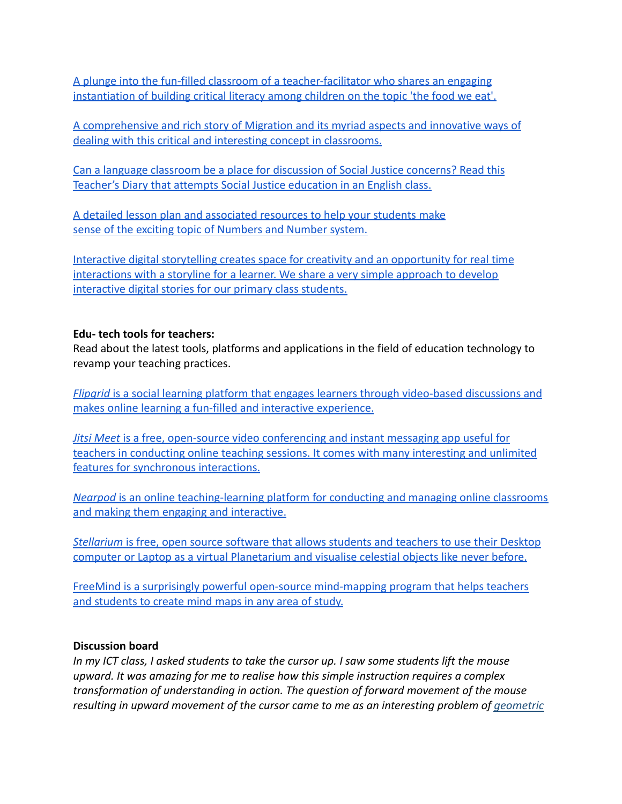[A plunge into the fun-filled classroom of a teacher-facilitator who shares an engaging](https://drive.google.com/file/d/188smMvUakxE3_G8295EwTfWTTyiYvXJ9/view?usp=sharing) [instantiation of building critical literacy among](https://drive.google.com/file/d/188smMvUakxE3_G8295EwTfWTTyiYvXJ9/view?usp=sharing) children on the topic 'the food we eat'.

[A comprehensive and rich story of Migration and its](https://drive.google.com/file/d/1X8bDtBMthQw_-_yDxa7e6DDt9QA41xay/view?usp=sharing) myriad aspects and innovative ways of [dealing with this critical and interesting concept](https://drive.google.com/file/d/1X8bDtBMthQw_-_yDxa7e6DDt9QA41xay/view?usp=sharing) in classrooms.

[Can a language classroom be a place for discussion](https://drive.google.com/file/d/1qvwBuFl4aQiBvaU_iDYX-lwC56MTomCz/view?usp=sharing) of Social Justice concerns? Read this [Teacher's Diary that attempts Social Justice education](https://drive.google.com/file/d/1qvwBuFl4aQiBvaU_iDYX-lwC56MTomCz/view?usp=sharing) in an English class.

[A detailed lesson plan and associated resources to](https://drive.google.com/file/d/1teU1XVzUtmkhWe8UmT39SzET5V0RwbH_/view?usp=sharing) help your students make [sense of the exciting topic of Numbers and Number](https://drive.google.com/file/d/1teU1XVzUtmkhWe8UmT39SzET5V0RwbH_/view?usp=sharing) system.

[Interactive digital storytelling creates space for](https://drive.google.com/file/d/1CkQGpMp5vmSPbgr5oHMM0rkjpME7NOxG/view?usp=sharing) creativity and an opportunity for real time [interactions with a storyline for a learner. We share](https://drive.google.com/file/d/1CkQGpMp5vmSPbgr5oHMM0rkjpME7NOxG/view?usp=sharing) a very simple approach to develop [interactive digital stories for our primary class](https://drive.google.com/file/d/1CkQGpMp5vmSPbgr5oHMM0rkjpME7NOxG/view?usp=sharing) students.

## **Edu- tech tools for teachers:**

Read about the latest tools, platforms and applications in the field of education technology to revamp your teaching practices.

*Flipgrid* is a social learning platform that engages [learners through video-based discussions and](https://drive.google.com/file/d/1y_oGLBnwBhh6ii_Z-xXOVTL__NzhKYzK/view?usp=sharing) [makes online learning a fun-filled and interactive](https://drive.google.com/file/d/1y_oGLBnwBhh6ii_Z-xXOVTL__NzhKYzK/view?usp=sharing) experience.

*Jitsi Meet* [is a free, open-source video conferencing](https://drive.google.com/file/d/1Pk9ERU44WLTnVzvy3UY7Kz_SCTouvXed/view?usp=sharing) and instant messaging app useful for [teachers in conducting online teaching sessions. It](https://drive.google.com/file/d/1Pk9ERU44WLTnVzvy3UY7Kz_SCTouvXed/view?usp=sharing) comes with many interesting and unlimited [features for synchronous interactions.](https://drive.google.com/file/d/1Pk9ERU44WLTnVzvy3UY7Kz_SCTouvXed/view?usp=sharing)

*Nearpod* is an online teaching-learning platform for [conducting and managing online classrooms](https://drive.google.com/file/d/1CmVZncNUIEk4o_SbOFgruvwZIcfDJtHd/view?usp=sharing) [and making them engaging and interactive.](https://drive.google.com/file/d/1CmVZncNUIEk4o_SbOFgruvwZIcfDJtHd/view?usp=sharing)

*Stellarium* is free, open source software that allows [students and teachers to use their Desktop](https://drive.google.com/file/d/1WFwIStgYWIUqRQGuY2CUov0yOEwRVVfK/view?usp=sharing) [computer or Laptop as a virtual Planetarium and visualise](https://drive.google.com/file/d/1WFwIStgYWIUqRQGuY2CUov0yOEwRVVfK/view?usp=sharing) celestial objects like never before.

[FreeMind is a surprisingly powerful open-source mind-mapping](https://drive.google.com/file/d/1HNeaHN2yWWBNMbCZ0vIcC095Gd3t08M6/view?usp=sharing) program that helps teachers [and students to create mind maps in any area of study.](https://drive.google.com/file/d/1HNeaHN2yWWBNMbCZ0vIcC095Gd3t08M6/view?usp=sharing)

#### **Discussion board**

*In my ICT class, I asked students to take the cursor up. I saw some students lift the mouse upward. It was amazing for me to realise how this simple instruction requires a complex transformation of understanding in action. The question of forward movement of the mouse resulting in upward movement of the cursor came to me as an interesting problem of [geometric](https://www.mathplanet.com/education/geometry/transformations/common-types-of-transformation)*